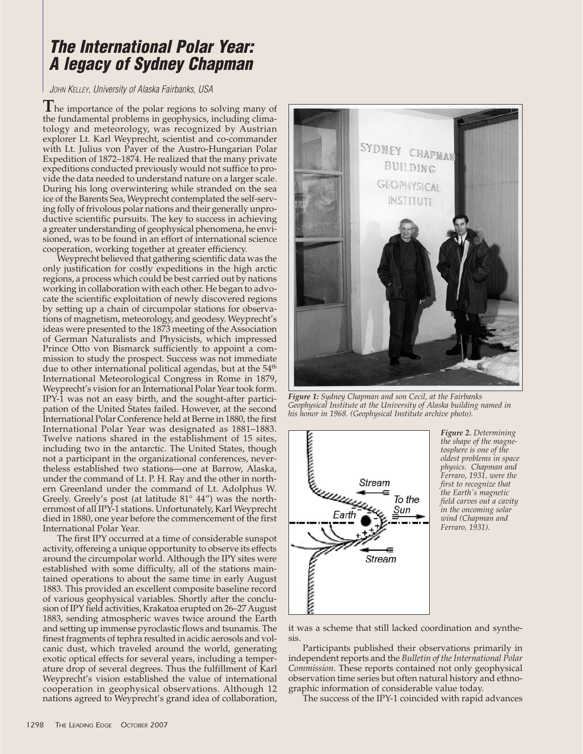## **The International Polar Year: A legacy of Sydney Chapman**

JOHN KELLEY, University of Alaska Fairbanks, USA

**T**he importance of the polar regions to solving many of the fundamental problems in geophysics, including climatology and meteorology, was recognized by Austrian explorer Lt. Karl Weyprecht, scientist and co-commander with Lt. Julius von Payer of the Austro-Hungarian Polar Expedition of 1872–1874. He realized that the many private expeditions conducted previously would not suffice to provide the data needed to understand nature on a larger scale. During his long overwintering while stranded on the sea ice of the Barents Sea, Weyprecht contemplated the self-serving folly of frivolous polar nations and their generally unproductive scientific pursuits. The key to success in achieving a greater understanding of geophysical phenomena, he envisioned, was to be found in an effort of international science cooperation, working together at greater efficiency.

Weyprecht believed that gathering scientific data was the only justification for costly expeditions in the high arctic regions, a process which could be best carried out by nations working in collaboration with each other. He began to advocate the scientific exploitation of newly discovered regions by setting up a chain of circumpolar stations for observations of magnetism, meteorology, and geodesy. Weyprecht's ideas were presented to the 1873 meeting of the Association of German Naturalists and Physicists, which impressed Prince Otto von Bismarck sufficiently to appoint a commission to study the prospect. Success was not immediate due to other international political agendas, but at the  $54<sup>th</sup>$ International Meteorological Congress in Rome in 1879, Weyprecht's vision for an International Polar Year took form. IPY-1 was not an easy birth, and the sought-after participation of the United States failed. However, at the second International Polar Conference held at Berne in 1880, the first International Polar Year was designated as 1881–1883. Twelve nations shared in the establishment of 15 sites, including two in the antarctic. The United States, though not a participant in the organizational conferences, nevertheless established two stations—one at Barrow, Alaska, under the command of Lt. P. H. Ray and the other in northern Greenland under the command of Lt. Adolphus W. Greely. Greely's post (at latitude 81° 44") was the northernmost of all IPY-1 stations. Unfortunately, Karl Weyprecht died in 1880, one year before the commencement of the first International Polar Year.

The first IPY occurred at a time of considerable sunspot activity, offereing a unique opportunity to observe its effects around the circumpolar world. Although the IPY sites were established with some difficulty, all of the stations maintained operations to about the same time in early August 1883. This provided an excellent composite baseline record of various geophysical variables. Shortly after the conclusion of IPY field activities, Krakatoa erupted on 26–27 August 1883, sending atmospheric waves twice around the Earth and setting up immense pyroclastic flows and tsunamis. The finest fragments of tephra resulted in acidic aerosols and volcanic dust, which traveled around the world, generating exotic optical effects for several years, including a temperature drop of several degrees. Thus the fulfillment of Karl Weyprecht's vision established the value of international cooperation in geophysical observations. Although 12 nations agreed to Weyprecht's grand idea of collaboration,



*Figure 1: Sydney Chapman and son Cecil, at the Fairbanks Geophysical Institute at the University of Alaska building named in his honor in 1968. (Geophysical Institute archive photo).*



*Figure 2. Determining the shape of the magnetosphere is one of the oldest problems in space physics. Chapman and Ferraro, 1931, were the first to recognize that the Earth's magnetic field carves out a cavity in the oncoming solar wind (Chapman and Ferraro, 1931).*

it was a scheme that still lacked coordination and synthesis.

Participants published their observations primarily in independent reports and the *Bulletin of the International Polar Commission*. These reports contained not only geophysical observation time series but often natural history and ethnographic information of considerable value today.

The success of the IPY-1 coincided with rapid advances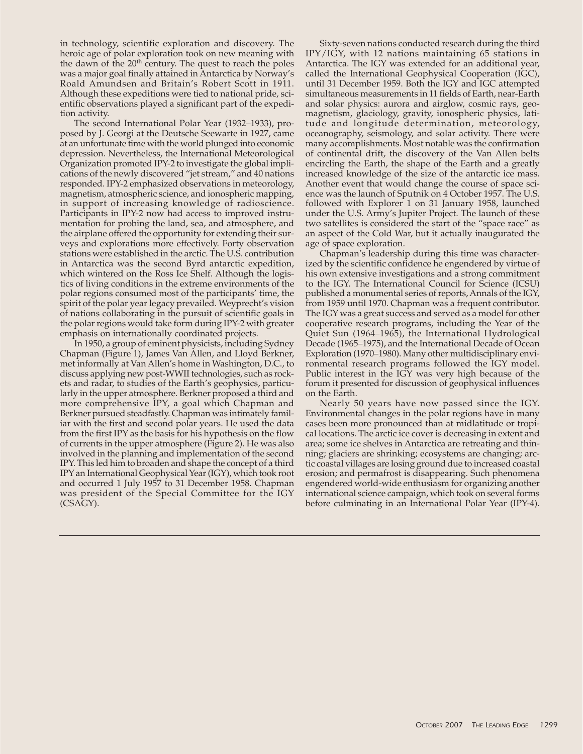in technology, scientific exploration and discovery. The heroic age of polar exploration took on new meaning with the dawn of the  $20<sup>th</sup>$  century. The quest to reach the poles was a major goal finally attained in Antarctica by Norway's Roald Amundsen and Britain's Robert Scott in 1911. Although these expeditions were tied to national pride, scientific observations played a significant part of the expedition activity.

The second International Polar Year (1932–1933), proposed by J. Georgi at the Deutsche Seewarte in 1927, came at an unfortunate time with the world plunged into economic depression. Nevertheless, the International Meteorological Organization promoted IPY-2 to investigate the global implications of the newly discovered "jet stream," and 40 nations responded. IPY-2 emphasized observations in meteorology, magnetism, atmospheric science, and ionospheric mapping, in support of increasing knowledge of radioscience. Participants in IPY-2 now had access to improved instrumentation for probing the land, sea, and atmosphere, and the airplane offered the opportunity for extending their surveys and explorations more effectively. Forty observation stations were established in the arctic. The U.S. contribution in Antarctica was the second Byrd antarctic expedition, which wintered on the Ross Ice Shelf. Although the logistics of living conditions in the extreme environments of the polar regions consumed most of the participants' time, the spirit of the polar year legacy prevailed. Weyprecht's vision of nations collaborating in the pursuit of scientific goals in the polar regions would take form during IPY-2 with greater emphasis on internationally coordinated projects.

In 1950, a group of eminent physicists, including Sydney Chapman (Figure 1), James Van Allen, and Lloyd Berkner, met informally at Van Allen's home in Washington, D.C., to discuss applying new post-WWII technologies, such as rockets and radar, to studies of the Earth's geophysics, particularly in the upper atmosphere. Berkner proposed a third and more comprehensive IPY, a goal which Chapman and Berkner pursued steadfastly. Chapman was intimately familiar with the first and second polar years. He used the data from the first IPY as the basis for his hypothesis on the flow of currents in the upper atmosphere (Figure 2). He was also involved in the planning and implementation of the second IPY. This led him to broaden and shape the concept of a third IPY an International Geophysical Year (IGY), which took root and occurred 1 July 1957 to 31 December 1958. Chapman was president of the Special Committee for the IGY (CSAGY).

Sixty-seven nations conducted research during the third IPY/IGY, with 12 nations maintaining 65 stations in Antarctica. The IGY was extended for an additional year, called the International Geophysical Cooperation (IGC), until 31 December 1959. Both the IGY and IGC attempted simultaneous measurements in 11 fields of Earth, near-Earth and solar physics: aurora and airglow, cosmic rays, geomagnetism, glaciology, gravity, ionospheric physics, latitude and longitude determination, meteorology, oceanography, seismology, and solar activity. There were many accomplishments. Most notable was the confirmation of continental drift, the discovery of the Van Allen belts encircling the Earth, the shape of the Earth and a greatly increased knowledge of the size of the antarctic ice mass. Another event that would change the course of space science was the launch of Sputnik on 4 October 1957. The U.S. followed with Explorer 1 on 31 January 1958, launched under the U.S. Army's Jupiter Project. The launch of these two satellites is considered the start of the "space race" as an aspect of the Cold War, but it actually inaugurated the age of space exploration.

Chapman's leadership during this time was characterized by the scientific confidence he engendered by virtue of his own extensive investigations and a strong commitment to the IGY. The International Council for Science (ICSU) published a monumental series of reports, Annals of the IGY, from 1959 until 1970. Chapman was a frequent contributor. The IGY was a great success and served as a model for other cooperative research programs, including the Year of the Quiet Sun (1964–1965), the International Hydrological Decade (1965–1975), and the International Decade of Ocean Exploration (1970–1980). Many other multidisciplinary environmental research programs followed the IGY model. Public interest in the IGY was very high because of the forum it presented for discussion of geophysical influences on the Earth.

Nearly 50 years have now passed since the IGY. Environmental changes in the polar regions have in many cases been more pronounced than at midlatitude or tropical locations. The arctic ice cover is decreasing in extent and area; some ice shelves in Antarctica are retreating and thinning; glaciers are shrinking; ecosystems are changing; arctic coastal villages are losing ground due to increased coastal erosion; and permafrost is disappearing. Such phenomena engendered world-wide enthusiasm for organizing another international science campaign, which took on several forms before culminating in an International Polar Year (IPY-4).